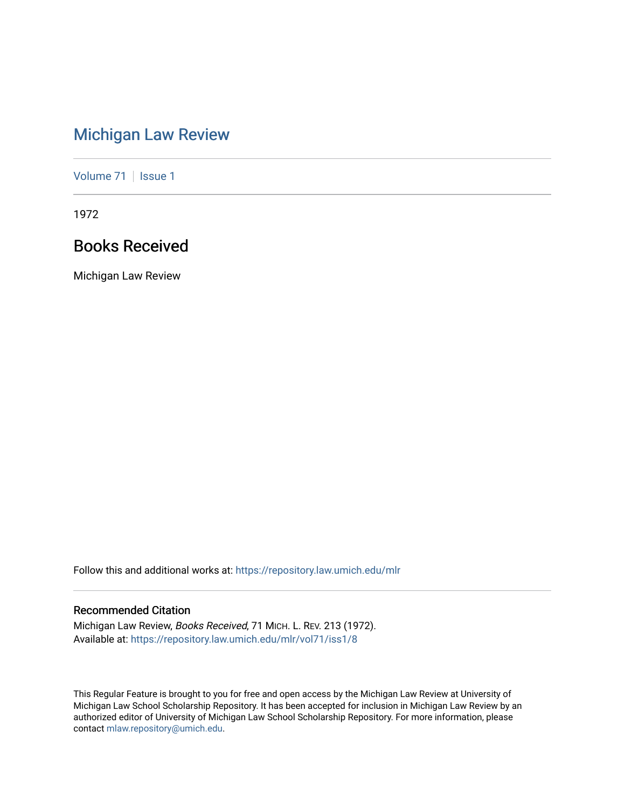# [Michigan Law Review](https://repository.law.umich.edu/mlr)

[Volume 71](https://repository.law.umich.edu/mlr/vol71) | [Issue 1](https://repository.law.umich.edu/mlr/vol71/iss1)

1972

# Books Received

Michigan Law Review

Follow this and additional works at: [https://repository.law.umich.edu/mlr](https://repository.law.umich.edu/mlr?utm_source=repository.law.umich.edu%2Fmlr%2Fvol71%2Fiss1%2F8&utm_medium=PDF&utm_campaign=PDFCoverPages) 

# Recommended Citation

Michigan Law Review, Books Received, 71 MICH. L. REV. 213 (1972). Available at: [https://repository.law.umich.edu/mlr/vol71/iss1/8](https://repository.law.umich.edu/mlr/vol71/iss1/8?utm_source=repository.law.umich.edu%2Fmlr%2Fvol71%2Fiss1%2F8&utm_medium=PDF&utm_campaign=PDFCoverPages)

This Regular Feature is brought to you for free and open access by the Michigan Law Review at University of Michigan Law School Scholarship Repository. It has been accepted for inclusion in Michigan Law Review by an authorized editor of University of Michigan Law School Scholarship Repository. For more information, please contact [mlaw.repository@umich.edu](mailto:mlaw.repository@umich.edu).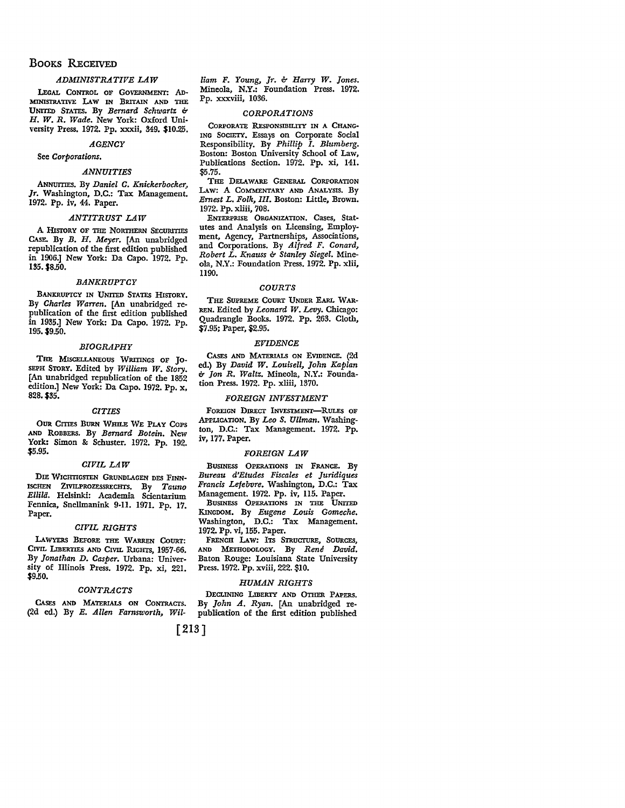# BOOKS RECEIVED

# *ADMINISTRATIVE LAW*

LEGAL CONTROL OF GOVERNMENT: AD-MINISTRATIVE LAW IN BRITAIN AND THE UNITED STATES. By *Bernard Schwartz* b *H. W. R. Wade.* New York: Oxford University Press. 1972. Pp. xxxii, 349. \$10.25.

# *AGENCY*

See *Corporations.* 

#### *ANNUITIES*

ANNUITIES. By *Daniel C. Knickerbocker, Jr.* Washington, D.C.: Tax Management. 1972. Pp. iv, 44. Paper.

# *ANTITRUST LAW*

A HISTORY OF THE NORTHERN SECURITIES CAsE. By *B. H. Meyer.* [An unabridged republication of the first edition published in 1906.] New York: Da Capo. 1972. Pp. 135. \$8.50.

#### *BANKRUPTCY*

BANKRUPTCY IN UNITED STATES HISTORY. By *Charles Warren.* [An unabridged republication of the first edition published in 1935.] New York: Da Capo. 1972. Pp. 195. \$9.50.

# *BIOGRAPHY*

THE MISCELLANEOUS WRITINGS OF JO-SEPH STORY. Edited by *William W. Story.*  [An unabridged republication of the 1852 edition.] New York: Da Capo. 1972. Pp. x, 828. \$35.

# *CITIES*

OUR CITIES BURN WHILE WE PLAY COPS AND ROBBERS. By *Bernard Botein.* New York: Simon & Schuster. 1972. Pp. 192. \$5.95.

#### *CIVIL LAW*

DIE WICHTIGSTEN GRUNDLAGEN DES FINN-ISCHEN ZIVILPROZESSRECHTS. By *Tauno* Ellilä. Helsinki: Academia Scientarium Fennica, Snellmanink 9-11. 1971. Pp. 17. Paper.

# *CIVIL RIGHTS*

LAWYERS BEFORE THE WARREN COURT: CIVIL LIBERTIES AND CIVIL RIGHTS, 1957-66. By *Jonathan D. Casper.* Urbana: University of Illinois Press. 1972. Pp. xi, 221. \$9.50. '

# *CONTRACTS*

CASES AND MATERIALS ON CoNTRAcrs. (2d ed.) By *E. Allen Farnsworth, Wil-*

*liam F. Young, Jr.* b *Harry W. Jones.*  Mineola, **N.Y.:** Foundation Press. 1972. Pp. xxxviii, 1036.

#### *CORPORATIONS*

CORPORATE RESPONSIBILITY IN A CHANG-ING SocIETY. Essays on Corporate Social Responsibility. By *Phillip I. Blumberg.*  Boston: Boston University School of Law, Publications Section. 1972. Pp. xi, 141. \$5.75.

THE DELAWARE GENERAL CORPORATION LAW: A COMMENTARY AND ANALYSIS. By *Ernest L. Folk, Ill.* Boston: Little, Brown. 1972. Pp. xliii, 708.

ENTERPRISE ORGANIZATION. Cases, Statutes and Analysis on Licensing, Employment, Agency, Partnerships, Associations, and Corporations. By *Alfred F. Conard, Robert L. Knauss* b *Stanley Siegel.* Mineola, N.Y.: Foundation Press. 1972. Pp. xiii, 1190.

#### *COURTS*

THE SUPREME COURT UNDER EARL WAR· REN. Edited by *Leonard W. Levy.* Chicago: Quadrangle Books. 1972. Pp. 263. Cloth, \$7.95; Paper, \$2.95.

### *EVIDENCE*

CASES AND MATERIALS ON EVIDENCE. (2d ed.) By *David W. Louisell, John Kaplan*  b *Jon R. Waltz.* Mineola, N.Y.: Foundation Press. 1972. Pp. xliii, 1370.

#### *FOREIGN INVESTMENT*

FOREIGN DIRECT INVESTMENT-RULES OF APPUCATION. By *Leo s. Ullman.* Washington, D.C.: Tax Management. 1972. Pp. iv, 177. Paper.

#### *FOREIGN LAW*

BUSINESS OPERATIONS IN FRANCE. By *Bureau d'Etudes Fiscales et Juridiques Francis Lefebvre.* Washington, D.C.: Tax Management. 1972. Pp. iv, 115. Paper.

BUSINESS OPERATIONS IN THE UNITED KINGDOM. By *Eugene Louis Gomeche.*  Washington, D.C.: Tax Management. 1972. Pp. vi, 155. Paper.

FRENCH LAW: ITS STRUCTURE, SOURCES, AND METHODOLOGY. By *Rene David.* Baton Rouge: Louisiana State University Press. 1972. Pp. xviii, 222. \$10.

# *HUMAN RIGHTS*

DECUNING LIBERTY AND OTHER PAPERS. By *John A. Ryan.* [An unabridged republication of the first edition published

[213]